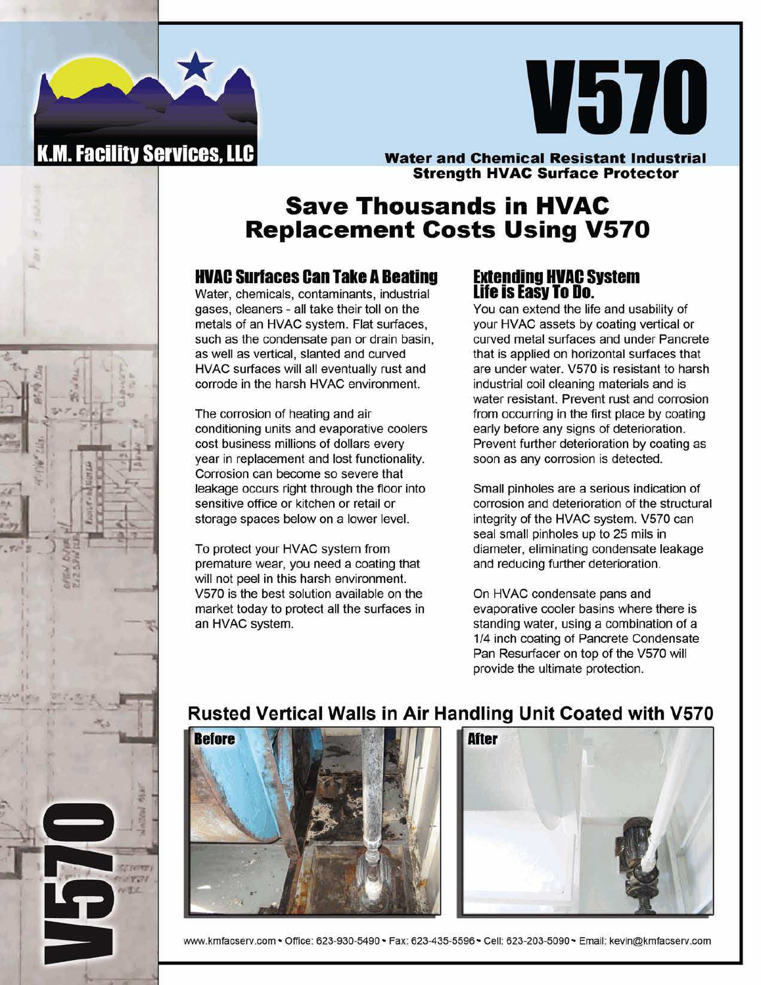



### **Water and Chemical Resistant Industrial Strength HVAC Surface Protector**

## **Save Thousands in HVAC Replacement Costs Using V570**

## **HVAC Surfaces Can Take A Beating Extending HVAC System**

Water, chemicals, contaminants, industrial gases, cleaners - all take their toll on the metals of an HVAC system. Flat surfaces, such as the condensate pan or drain basin, as well as vertical, slanted and curved HVAC surfaces will all eventually rust and corrode in the harsh HVAC environment.

The corrosion of heating and air conditioning units and evaporative coolers cost business millions of dollars every year in replacement and lost functionality. Corrosion can become so severe that leakage occurs right through the floor into sensitive office or kitchen or retail or storage spaces below on a lower level.

To protect your HVAC system from premature wear, you need a coating that will not peel in this harsh environment. V570 is the best solution available on the market today to protect all the surfaces in an HVAC system.

# **Life is Easy To Do.**

You can extend the life and usability of your HVAC assets by coating vertical or curved metal surfaces and under Pancrete that is applied on horizontal surfaces that are under water. V570 is resistant to harsh industrial coil cleaning materials and is water resistant. Prevent rust and corrosion from occurring in the first place by coating early before any signs of deterioration. Prevent further deterioration by coating as soon as any corrosion is detected.

Small pinholes are a serious indication of corrosion and deterioration of the structural integrity of the HVAC system. V570 can seal small pinholes up to 25 mils in diameter, eliminating condensate leakage and reducing further deterioration.

On HVAC condensate pans and evaporative cooler basins where there is standing water, using a combination of a 114 inch coating of Pancrete Condensate Pan Resurfacer on top of the V570 will provide the ultimate protection.

## **Rusted Vertical Walls in Air Handling Unit Coated with V570**





www.kmfacserv.com • Office: 623-930-5490 • Fax: 623-435-5596 • Cell: 623-203-5090 • Email: kevin@kmfacserv.com